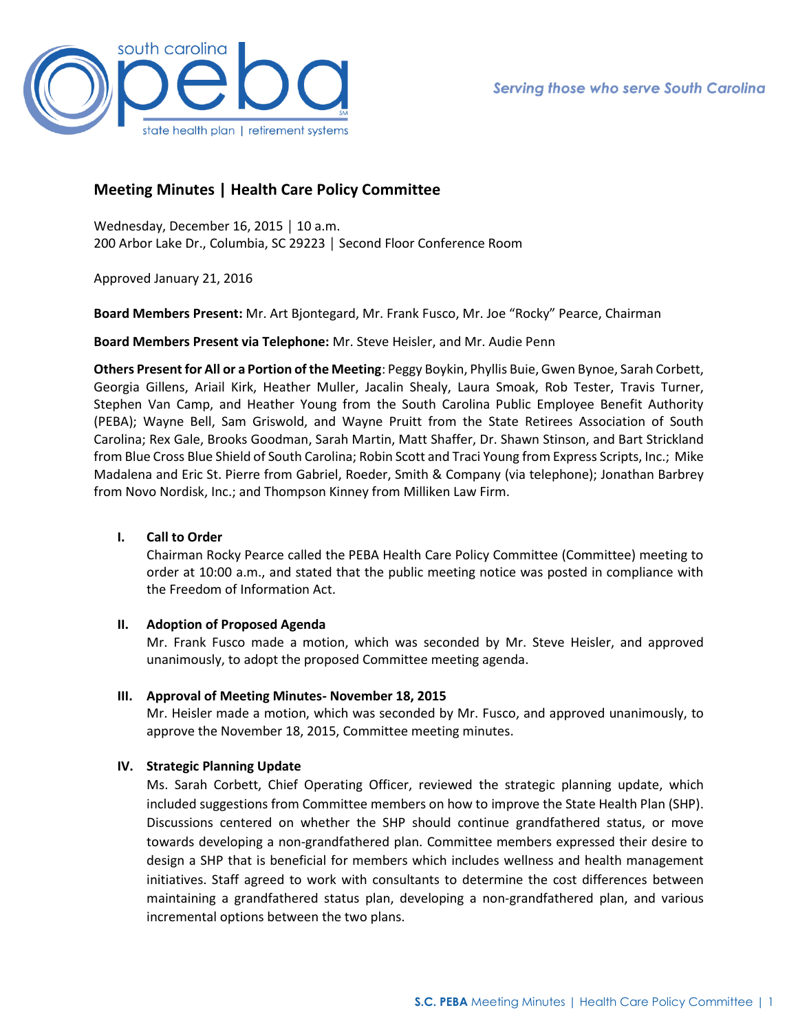

# **Meeting Minutes | Health Care Policy Committee**

Wednesday, December 16, 2015 │ 10 a.m. 200 Arbor Lake Dr., Columbia, SC 29223 │ Second Floor Conference Room

Approved January 21, 2016

**Board Members Present:** Mr. Art Bjontegard, Mr. Frank Fusco, Mr. Joe "Rocky" Pearce, Chairman

**Board Members Present via Telephone:** Mr. Steve Heisler, and Mr. Audie Penn

**Others Present for All or a Portion of the Meeting**: Peggy Boykin, Phyllis Buie, Gwen Bynoe, Sarah Corbett, Georgia Gillens, Ariail Kirk, Heather Muller, Jacalin Shealy, Laura Smoak, Rob Tester, Travis Turner, Stephen Van Camp, and Heather Young from the South Carolina Public Employee Benefit Authority (PEBA); Wayne Bell, Sam Griswold, and Wayne Pruitt from the State Retirees Association of South Carolina; Rex Gale, Brooks Goodman, Sarah Martin, Matt Shaffer, Dr. Shawn Stinson, and Bart Strickland from Blue Cross Blue Shield of South Carolina; Robin Scott and Traci Young from Express Scripts, Inc.; Mike Madalena and Eric St. Pierre from Gabriel, Roeder, Smith & Company (via telephone); Jonathan Barbrey from Novo Nordisk, Inc.; and Thompson Kinney from Milliken Law Firm.

# **I. Call to Order**

Chairman Rocky Pearce called the PEBA Health Care Policy Committee (Committee) meeting to order at 10:00 a.m., and stated that the public meeting notice was posted in compliance with the Freedom of Information Act.

# **II. Adoption of Proposed Agenda**

Mr. Frank Fusco made a motion, which was seconded by Mr. Steve Heisler, and approved unanimously, to adopt the proposed Committee meeting agenda.

# **III. Approval of Meeting Minutes- November 18, 2015**

Mr. Heisler made a motion, which was seconded by Mr. Fusco, and approved unanimously, to approve the November 18, 2015, Committee meeting minutes.

# **IV. Strategic Planning Update**

Ms. Sarah Corbett, Chief Operating Officer, reviewed the strategic planning update, which included suggestions from Committee members on how to improve the State Health Plan (SHP). Discussions centered on whether the SHP should continue grandfathered status, or move towards developing a non-grandfathered plan. Committee members expressed their desire to design a SHP that is beneficial for members which includes wellness and health management initiatives. Staff agreed to work with consultants to determine the cost differences between maintaining a grandfathered status plan, developing a non-grandfathered plan, and various incremental options between the two plans.